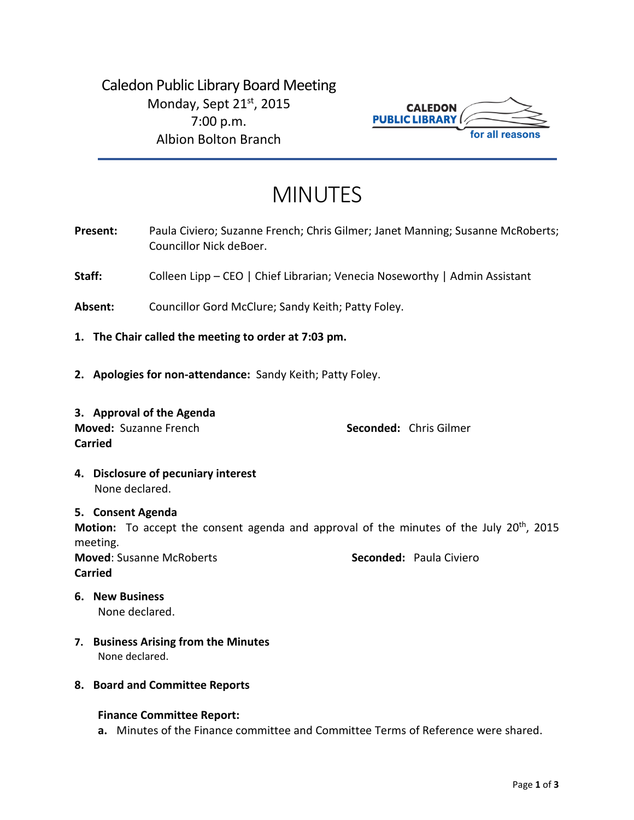Caledon Public Library Board Meeting Monday, Sept 21<sup>st</sup>, 2015 7:00 p.m. Albion Bolton Branch



# MINUTES

- Present: Paula Civiero; Suzanne French; Chris Gilmer; Janet Manning; Susanne McRoberts; Councillor Nick deBoer.
- **Staff:** Colleen Lipp CEO | Chief Librarian; Venecia Noseworthy | Admin Assistant
- **Absent:** Councillor Gord McClure; Sandy Keith; Patty Foley.
- **1. The Chair called the meeting to order at 7:03 pm.**
- **2. Apologies for non-attendance:** Sandy Keith; Patty Foley.
- **3. Approval of the Agenda Moved:** Suzanne French **Seconded:** Chris Gilmer **Carried**

**4. Disclosure of pecuniary interest** None declared.

#### **5. Consent Agenda**

Motion: To accept the consent agenda and approval of the minutes of the July 20<sup>th</sup>, 2015 meeting.

**Moved**: Susanne McRoberts **Seconded:** Paula Civiero **Carried**

- **6. New Business** None declared.
- **7. Business Arising from the Minutes** None declared.
- **8. Board and Committee Reports**

#### **Finance Committee Report:**

**a.** Minutes of the Finance committee and Committee Terms of Reference were shared.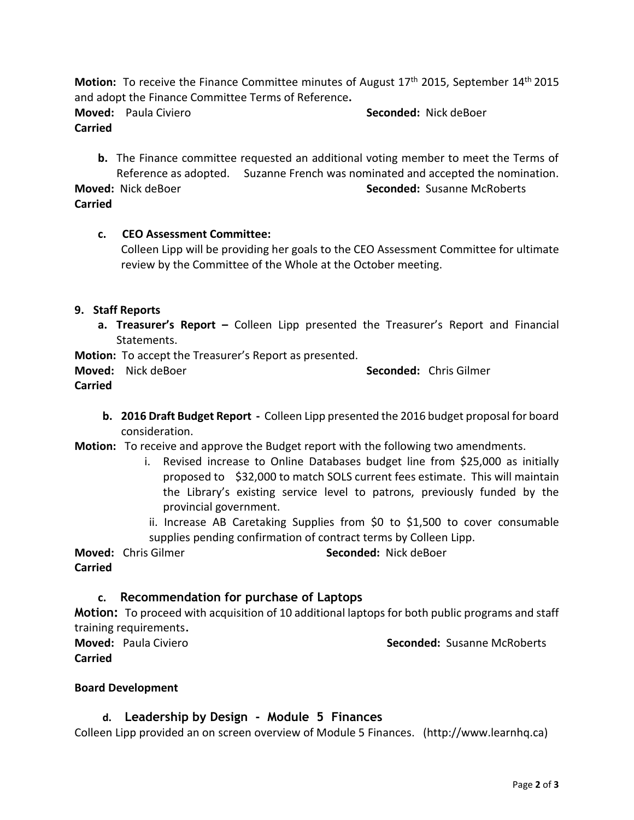**Motion:** To receive the Finance Committee minutes of August 17th 2015, September 14th 2015 and adopt the Finance Committee Terms of Reference**.**

**Moved:** Paula Civiero **Seconded:** Nick deBoer **Carried**

**b.** The Finance committee requested an additional voting member to meet the Terms of Reference as adopted. Suzanne French was nominated and accepted the nomination. **Moved:** Nick deBoer **Seconded:** Susanne McRoberts **Carried**

## **c. CEO Assessment Committee:**

Colleen Lipp will be providing her goals to the CEO Assessment Committee for ultimate review by the Committee of the Whole at the October meeting.

## **9. Staff Reports**

**a. Treasurer's Report –** Colleen Lipp presented the Treasurer's Report and Financial Statements.

**Motion:** To accept the Treasurer's Report as presented.

**Moved:** Nick deBoer **Seconded:** Chris Gilmer **Carried**

- **b. 2016 Draft Budget Report -** Colleen Lipp presented the 2016 budget proposal for board consideration.
- **Motion:** To receive and approve the Budget report with the following two amendments.
	- i. Revised increase to Online Databases budget line from \$25,000 as initially proposed to \$32,000 to match SOLS current fees estimate. This will maintain the Library's existing service level to patrons, previously funded by the provincial government.
	- ii. Increase AB Caretaking Supplies from \$0 to \$1,500 to cover consumable supplies pending confirmation of contract terms by Colleen Lipp.

**Moved:** Chris Gilmer **Seconded:** Nick deBoer **Carried**

## **c. Recommendation for purchase of Laptops**

**Motion:** To proceed with acquisition of 10 additional laptops for both public programs and staff training requirements.

**Carried**

**Moved:** Paula Civiero **Seconded:** Susanne McRoberts

## **Board Development**

## **d. Leadership by Design - Module 5 Finances**

Colleen Lipp provided an on screen overview of Module 5 Finances. (http://www.learnhq.ca)